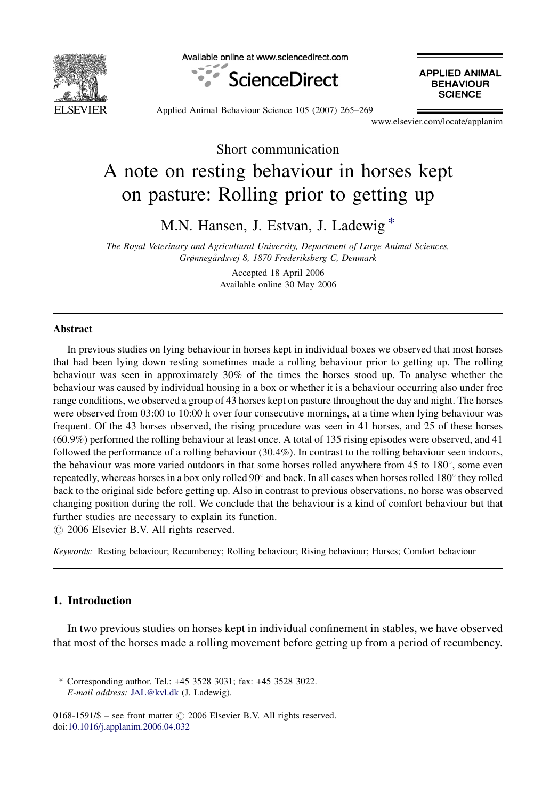

Available online at www.sciencedirect.com



**APPLIED ANIMAL BEHAVIOUR SCIENCE** 

Applied Animal Behaviour Science 105 (2007) 265–269

www.elsevier.com/locate/applanim

Short communication A note on resting behaviour in horses kept on pasture: Rolling prior to getting up

M.N. Hansen, J. Estvan, J. Ladewig \*

The Royal Veterinary and Agricultural University, Department of Large Animal Sciences, Grønnegårdsvej 8, 1870 Frederiksberg C, Denmark

> Accepted 18 April 2006 Available online 30 May 2006

## Abstract

In previous studies on lying behaviour in horses kept in individual boxes we observed that most horses that had been lying down resting sometimes made a rolling behaviour prior to getting up. The rolling behaviour was seen in approximately 30% of the times the horses stood up. To analyse whether the behaviour was caused by individual housing in a box or whether it is a behaviour occurring also under free range conditions, we observed a group of 43 horses kept on pasture throughout the day and night. The horses were observed from 03:00 to 10:00 h over four consecutive mornings, at a time when lying behaviour was frequent. Of the 43 horses observed, the rising procedure was seen in 41 horses, and 25 of these horses (60.9%) performed the rolling behaviour at least once. A total of 135 rising episodes were observed, and 41 followed the performance of a rolling behaviour (30.4%). In contrast to the rolling behaviour seen indoors, the behaviour was more varied outdoors in that some horses rolled anywhere from 45 to 180°, some even repeatedly, whereas horses in a box only rolled  $90^\circ$  and back. In all cases when horses rolled 180 $^\circ$  they rolled back to the original side before getting up. Also in contrast to previous observations, no horse was observed changing position during the roll. We conclude that the behaviour is a kind of comfort behaviour but that further studies are necessary to explain its function.

 $\circ$  2006 Elsevier B.V. All rights reserved.

Keywords: Resting behaviour; Recumbency; Rolling behaviour; Rising behaviour; Horses; Comfort behaviour

# 1. Introduction

In two previous studies on horses kept in individual confinement in stables, we have observed that most of the horses made a rolling movement before getting up from a period of recumbency.

Corresponding author. Tel.: +45 3528 3031; fax: +45 3528 3022. E-mail address: [JAL@kvl.dk](mailto:JAL@kvl.dk) (J. Ladewig).

 $0168-1591/\$$  – see front matter  $\odot$  2006 Elsevier B.V. All rights reserved. doi:[10.1016/j.applanim.2006.04.032](http://dx.doi.org/10.1016/j.applanim.2006.04.032)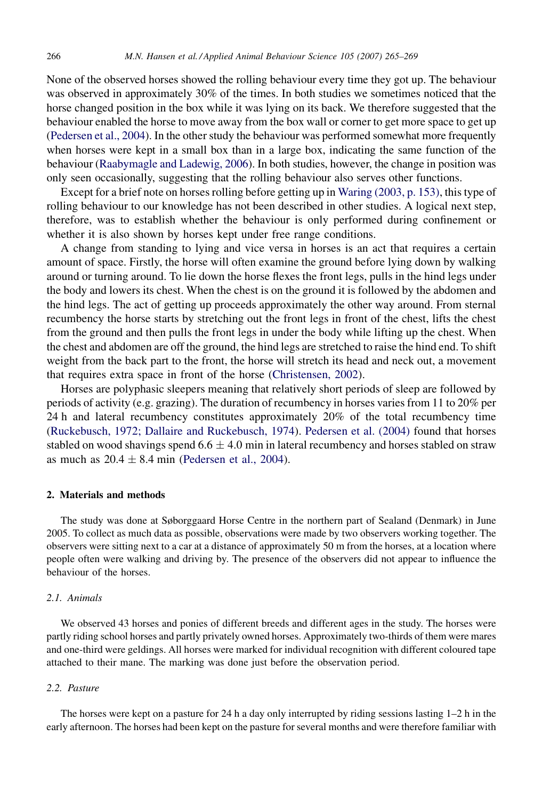None of the observed horses showed the rolling behaviour every time they got up. The behaviour was observed in approximately 30% of the times. In both studies we sometimes noticed that the horse changed position in the box while it was lying on its back. We therefore suggested that the behaviour enabled the horse to move away from the box wall or corner to get more space to get up [\(Pedersen et al., 2004\)](#page-4-0). In the other study the behaviour was performed somewhat more frequently when horses were kept in a small box than in a large box, indicating the same function of the behaviour [\(Raabymagle and Ladewig, 2006](#page-4-0)). In both studies, however, the change in position was only seen occasionally, suggesting that the rolling behaviour also serves other functions.

Except for a brief note on horses rolling before getting up in [Waring \(2003, p. 153\)](#page-4-0), this type of rolling behaviour to our knowledge has not been described in other studies. A logical next step, therefore, was to establish whether the behaviour is only performed during confinement or whether it is also shown by horses kept under free range conditions.

A change from standing to lying and vice versa in horses is an act that requires a certain amount of space. Firstly, the horse will often examine the ground before lying down by walking around or turning around. To lie down the horse flexes the front legs, pulls in the hind legs under the body and lowers its chest. When the chest is on the ground it is followed by the abdomen and the hind legs. The act of getting up proceeds approximately the other way around. From sternal recumbency the horse starts by stretching out the front legs in front of the chest, lifts the chest from the ground and then pulls the front legs in under the body while lifting up the chest. When the chest and abdomen are off the ground, the hind legs are stretched to raise the hind end. To shift weight from the back part to the front, the horse will stretch its head and neck out, a movement that requires extra space in front of the horse ([Christensen, 2002\)](#page-4-0).

Horses are polyphasic sleepers meaning that relatively short periods of sleep are followed by periods of activity (e.g. grazing). The duration of recumbency in horses varies from 11 to 20% per 24 h and lateral recumbency constitutes approximately 20% of the total recumbency time [\(Ruckebusch, 1972; Dallaire and Ruckebusch, 1974\)](#page-4-0). [Pedersen et al. \(2004\)](#page-4-0) found that horses stabled on wood shavings spend 6.6  $\pm$  4.0 min in lateral recumbency and horses stabled on straw as much as  $20.4 \pm 8.4$  min ([Pedersen et al., 2004](#page-4-0)).

#### 2. Materials and methods

The study was done at Søborggaard Horse Centre in the northern part of Sealand (Denmark) in June 2005. To collect as much data as possible, observations were made by two observers working together. The observers were sitting next to a car at a distance of approximately 50 m from the horses, at a location where people often were walking and driving by. The presence of the observers did not appear to influence the behaviour of the horses.

## 2.1. Animals

We observed 43 horses and ponies of different breeds and different ages in the study. The horses were partly riding school horses and partly privately owned horses. Approximately two-thirds of them were mares and one-third were geldings. All horses were marked for individual recognition with different coloured tape attached to their mane. The marking was done just before the observation period.

### 2.2. Pasture

The horses were kept on a pasture for 24 h a day only interrupted by riding sessions lasting 1–2 h in the early afternoon. The horses had been kept on the pasture for several months and were therefore familiar with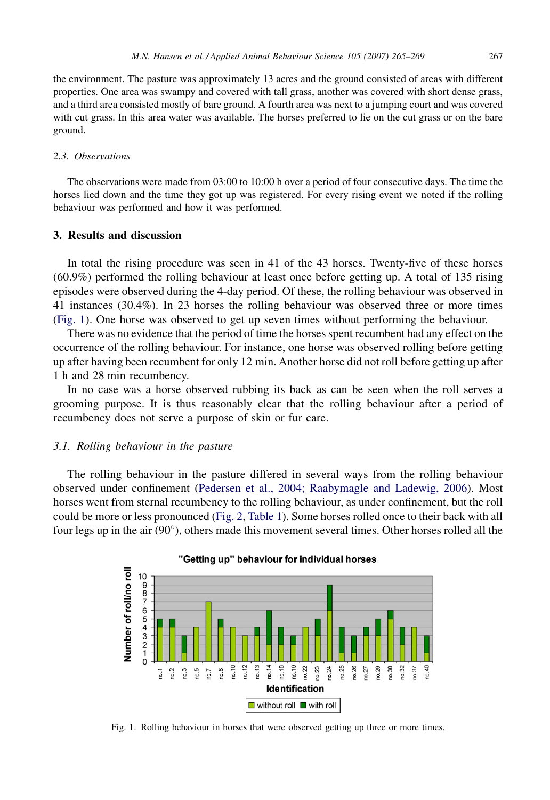the environment. The pasture was approximately 13 acres and the ground consisted of areas with different properties. One area was swampy and covered with tall grass, another was covered with short dense grass, and a third area consisted mostly of bare ground. A fourth area was next to a jumping court and was covered with cut grass. In this area water was available. The horses preferred to lie on the cut grass or on the bare ground.

#### 2.3. Observations

The observations were made from 03:00 to 10:00 h over a period of four consecutive days. The time the horses lied down and the time they got up was registered. For every rising event we noted if the rolling behaviour was performed and how it was performed.

# 3. Results and discussion

In total the rising procedure was seen in 41 of the 43 horses. Twenty-five of these horses (60.9%) performed the rolling behaviour at least once before getting up. A total of 135 rising episodes were observed during the 4-day period. Of these, the rolling behaviour was observed in 41 instances (30.4%). In 23 horses the rolling behaviour was observed three or more times (Fig. 1). One horse was observed to get up seven times without performing the behaviour.

There was no evidence that the period of time the horses spent recumbent had any effect on the occurrence of the rolling behaviour. For instance, one horse was observed rolling before getting up after having been recumbent for only 12 min. Another horse did not roll before getting up after 1 h and 28 min recumbency.

In no case was a horse observed rubbing its back as can be seen when the roll serves a grooming purpose. It is thus reasonably clear that the rolling behaviour after a period of recumbency does not serve a purpose of skin or fur care.

# 3.1. Rolling behaviour in the pasture

The rolling behaviour in the pasture differed in several ways from the rolling behaviour observed under confinement [\(Pedersen et al., 2004; Raabymagle and Ladewig, 2006\)](#page-4-0). Most horses went from sternal recumbency to the rolling behaviour, as under confinement, but the roll could be more or less pronounced ([Fig. 2,](#page-3-0) [Table 1](#page-3-0)). Some horses rolled once to their back with all four legs up in the air  $(90^{\circ})$ , others made this movement several times. Other horses rolled all the



"Getting up" behaviour for individual horses

Fig. 1. Rolling behaviour in horses that were observed getting up three or more times.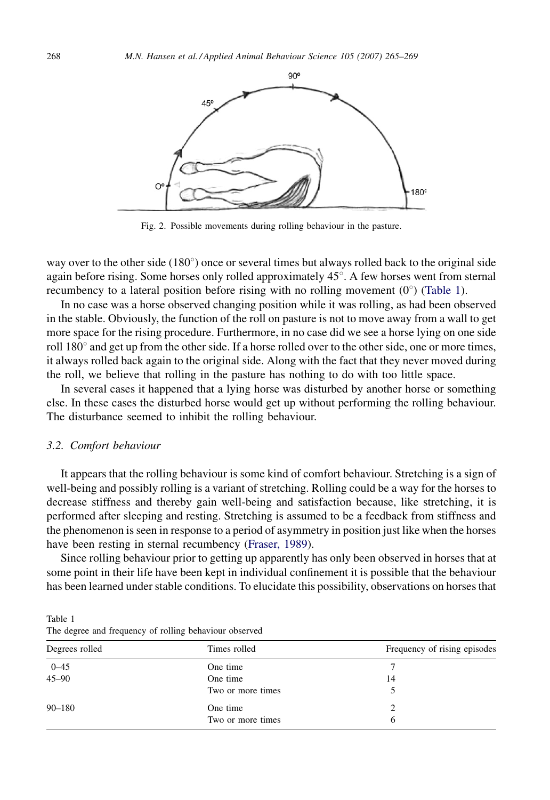<span id="page-3-0"></span>

Fig. 2. Possible movements during rolling behaviour in the pasture.

way over to the other side  $(180^{\circ})$  once or several times but always rolled back to the original side again before rising. Some horses only rolled approximately  $45^\circ$ . A few horses went from sternal recumbency to a lateral position before rising with no rolling movement  $(0^{\circ})$  (Table 1).

In no case was a horse observed changing position while it was rolling, as had been observed in the stable. Obviously, the function of the roll on pasture is not to move away from a wall to get more space for the rising procedure. Furthermore, in no case did we see a horse lying on one side roll 180° and get up from the other side. If a horse rolled over to the other side, one or more times, it always rolled back again to the original side. Along with the fact that they never moved during the roll, we believe that rolling in the pasture has nothing to do with too little space.

In several cases it happened that a lying horse was disturbed by another horse or something else. In these cases the disturbed horse would get up without performing the rolling behaviour. The disturbance seemed to inhibit the rolling behaviour.

# 3.2. Comfort behaviour

It appears that the rolling behaviour is some kind of comfort behaviour. Stretching is a sign of well-being and possibly rolling is a variant of stretching. Rolling could be a way for the horses to decrease stiffness and thereby gain well-being and satisfaction because, like stretching, it is performed after sleeping and resting. Stretching is assumed to be a feedback from stiffness and the phenomenon is seen in response to a period of asymmetry in position just like when the horses have been resting in sternal recumbency [\(Fraser, 1989\)](#page-4-0).

Since rolling behaviour prior to getting up apparently has only been observed in horses that at some point in their life have been kept in individual confinement it is possible that the behaviour has been learned under stable conditions. To elucidate this possibility, observations on horses that

Table 1 The degree and frequency of rolling behaviour observed

| Degrees rolled | Times rolled      | Frequency of rising episodes |
|----------------|-------------------|------------------------------|
| $0 - 45$       | One time          |                              |
| $45 - 90$      | One time          | 14                           |
|                | Two or more times |                              |
| $90 - 180$     | One time          |                              |
|                | Two or more times | 6                            |